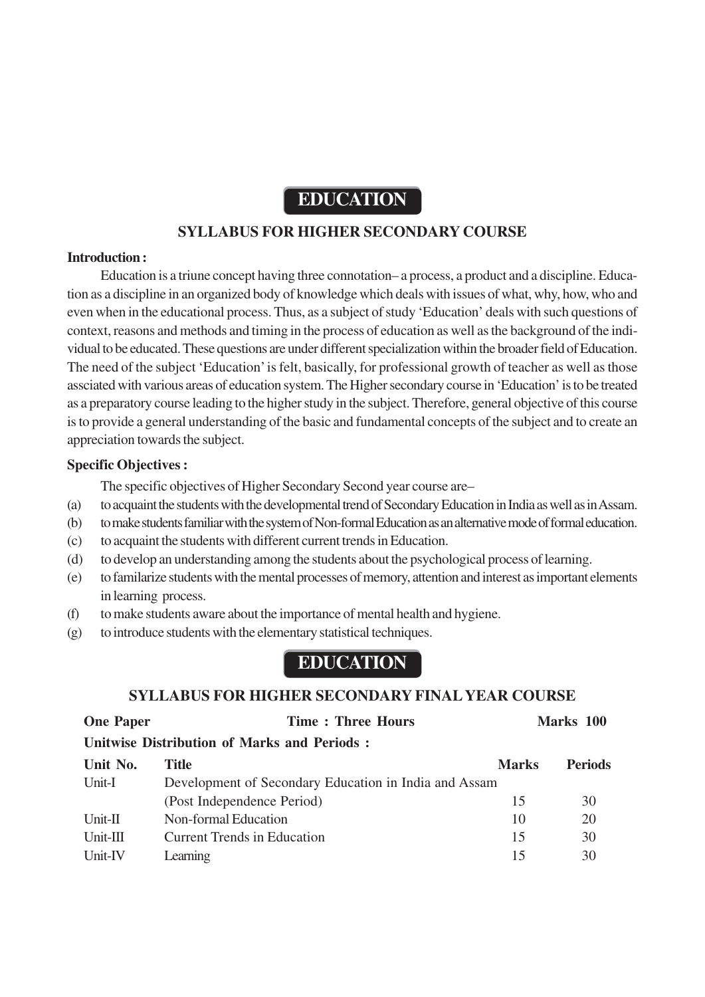# **EDUCATION**

# **SYLLABUS FOR HIGHER SECONDARY COURSE**

#### **Introduction :**

Education is a triune concept having three connotation– a process, a product and a discipline. Education as a discipline in an organized body of knowledge which deals with issues of what, why, how, who and even when in the educational process. Thus, as a subject of study 'Education' deals with such questions of context, reasons and methods and timing in the process of education as well as the background of the individual to be educated. These questions are under different specialization within the broader field of Education. The need of the subject 'Education' is felt, basically, for professional growth of teacher as well as those assciated with various areas of education system. The Higher secondary course in 'Education' is to be treated as a preparatory course leading to the higher study in the subject. Therefore, general objective of this course is to provide a general understanding of the basic and fundamental concepts of the subject and to create an appreciation towards the subject.

#### **Specific Objectives :**

The specific objectives of Higher Secondary Second year course are–

- (a) to acquaint the students with the developmental trend of Secondary Education in India as well as in Assam.
- (b) to make students familiar with the system of Non-formal Education as an alternative mode of formal education.
- (c) to acquaint the students with different current trends in Education.
- (d) to develop an understanding among the students about the psychological process of learning.
- (e) to familarize students with the mental processes of memory, attention and interest as important elements in learning process.
- (f) to make students aware about the importance of mental health and hygiene.
- (g) to introduce students with the elementary statistical techniques.

# **EDUCATION**

# **SYLLABUS FOR HIGHER SECONDARY FINAL YEAR COURSE**

| <b>One Paper</b> | <b>Time: Three Hours</b>                              |              | Marks 100      |
|------------------|-------------------------------------------------------|--------------|----------------|
|                  | Unitwise Distribution of Marks and Periods:           |              |                |
| Unit No.         | Title                                                 | <b>Marks</b> | <b>Periods</b> |
| Unit-I           | Development of Secondary Education in India and Assam |              |                |
|                  | (Post Independence Period)                            | 15           | 30             |
| $Unit-II$        | Non-formal Education                                  | 10           | 20             |
| $Unit-III$       | <b>Current Trends in Education</b>                    | 15           | 30             |
| Unit-IV          | Learning                                              | 15           | 30             |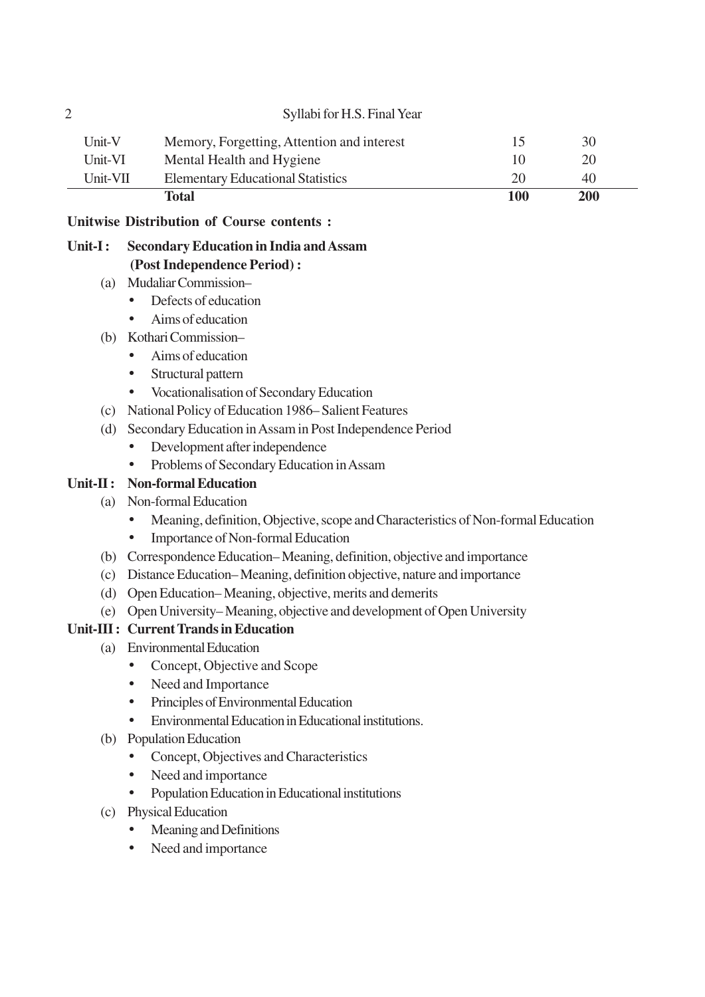|          | Total                                      | 100          | 200 |
|----------|--------------------------------------------|--------------|-----|
| Unit-VII | <b>Elementary Educational Statistics</b>   | 20           | 40  |
| Unit-VI  | Mental Health and Hygiene                  | 10           | 20  |
| Unit-V   | Memory, Forgetting, Attention and interest | $\mathsf{L}$ | 30  |

# **Unitwise Distribution of Course contents :**

# **Unit-I : Secondary Education in India and Assam (Post Independence Period) :**

- (a) Mudaliar Commission–
	- Defects of education
	- Aims of education
- (b) Kothari Commission–
	- Aims of education
	- Structural pattern
	- Vocationalisation of Secondary Education
- (c) National Policy of Education 1986– Salient Features
- (d) Secondary Education in Assam in Post Independence Period
	- Development after independence
	- Problems of Secondary Education in Assam

# **Unit-II : Non-formal Education**

- (a) Non-formal Education
	- Meaning, definition, Objective, scope and Characteristics of Non-formal Education
	- Importance of Non-formal Education
- (b) Correspondence Education– Meaning, definition, objective and importance
- (c) Distance Education– Meaning, definition objective, nature and importance
- (d) Open Education– Meaning, objective, merits and demerits
- (e) Open University– Meaning, objective and development of Open University

# **Unit-III : Current Trands in Education**

- (a) Environmental Education
	- Concept, Objective and Scope
	- Need and Importance
	- Principles of Environmental Education
	- Environmental Education in Educational institutions.
- (b) Population Education
	- Concept, Objectives and Characteristics
	- Need and importance
	- Population Education in Educational institutions
- (c) Physical Education
	- Meaning and Definitions
	- Need and importance

# 2 Syllabi for H.S. Final Year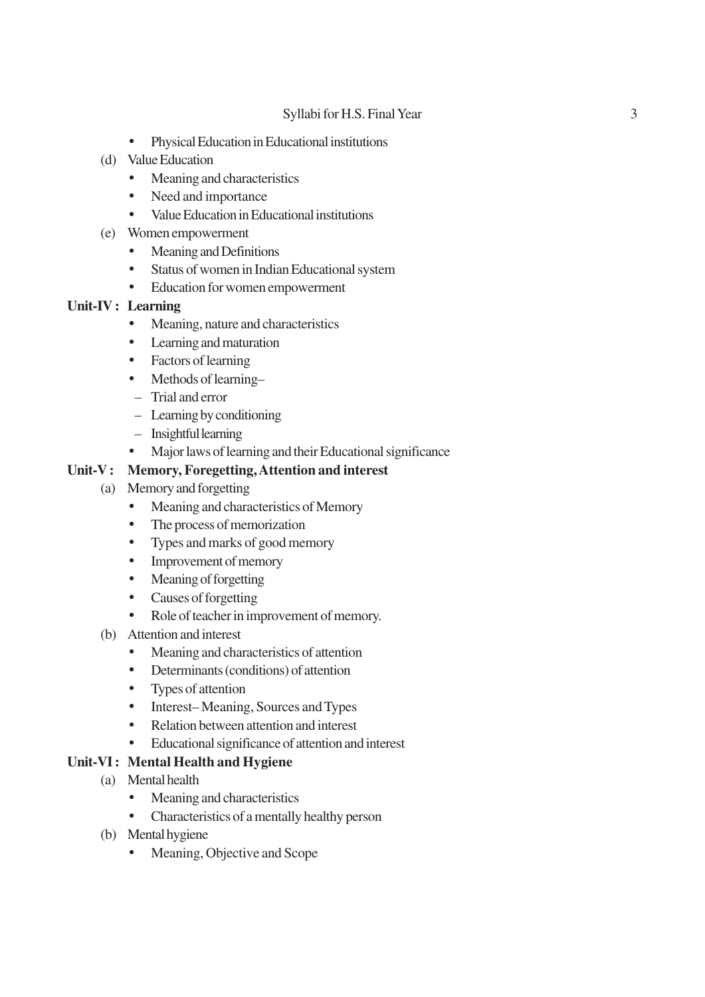#### Syllabi for H.S. Final Year 3

- Physical Education in Educational institutions
- (d) Value Education
	- Meaning and characteristics
	- Need and importance
	- Value Education in Educational institutions
- (e) Women empowerment
	- Meaning and Definitions
	- Status of women in Indian Educational system
	- Education for women empowerment

# **Unit-IV : Learning**

- Meaning, nature and characteristics
- Learning and maturation
- Factors of learning
- Methods of learning-
- Trial and error
- Learning by conditioning
- Insightful learning
- Major laws of learning and their Educational significance

#### **Unit-V : Memory, Foregetting, Attention and interest**

- (a) Memory and forgetting
	- Meaning and characteristics of Memory
	- The process of memorization
	- Types and marks of good memory
	- Improvement of memory
	- Meaning of forgetting
	- Causes of forgetting
	- Role of teacher in improvement of memory.
- (b) Attention and interest
	- Meaning and characteristics of attention
	- Determinants (conditions) of attention
	- Types of attention
	- Interest–Meaning, Sources and Types
	- Relation between attention and interest
	- Educational significance of attention and interest

#### **Unit-VI : Mental Health and Hygiene**

- (a) Mental health
	- Meaning and characteristics
	- Characteristics of a mentally healthy person
- (b) Mental hygiene
	- Meaning, Objective and Scope